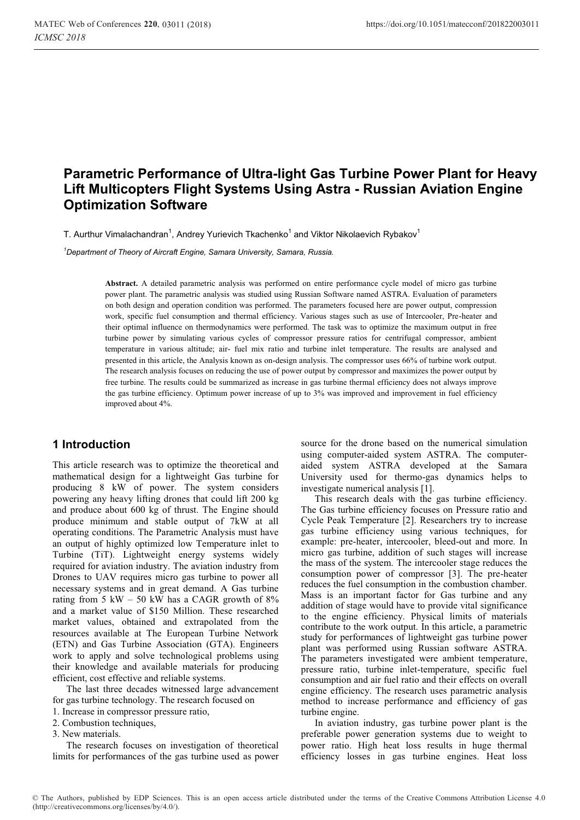# **Parametric Performance of Ultra-light Gas Turbine Power Plant for Heavy Lift Multicopters Flight Systems Using Astra - Russian Aviation Engine Optimization Software**

T. Aurthur Vimalachandran<sup>1</sup>. Andrey Yurievich Tkachenko<sup>1</sup> and Viktor Nikolaevich Rybakov<sup>1</sup>

<sup>1</sup>Department of Theory of Aircraft Engine, Samara University, Samara, Russia. *Department of Theory of Aircraft Engine, Samara University, Samara, Russia.* 

> **Abstract.** A detailed parametric analysis was performed on entire performance cycle model of micro gas turbine power plant. The parametric analysis was studied using Russian Software named ASTRA. Evaluation of parameters on both design and operation condition was performed. The parameters focused here are power output, compression work, specific fuel consumption and thermal efficiency. Various stages such as use of Intercooler, Pre-heater and their optimal influence on thermodynamics were performed. The task was to optimize the maximum output in free turbine power by simulating various cycles of compressor pressure ratios for centrifugal compressor, ambient temperature in various altitude; air- fuel mix ratio and turbine inlet temperature. The results are analysed and presented in this article, the Analysis known as on-design analysis. The compressor uses 66% of turbine work output. The research analysis focuses on reducing the use of power output by compressor and maximizes the power output by free turbine. The results could be summarized as increase in gas turbine thermal efficiency does not always improve the gas turbine efficiency. Optimum power increase of up to 3% was improved and improvement in fuel efficiency improved about 4%.

# **1 Introduction**

This article research was to optimize the theoretical and mathematical design for a lightweight Gas turbine for producing 8 kW of power. The system considers powering any heavy lifting drones that could lift 200 kg and produce about 600 kg of thrust. The Engine should produce minimum and stable output of 7kW at all operating conditions. The Parametric Analysis must have an output of highly optimized low Temperature inlet to Turbine (TiT). Lightweight energy systems widely required for aviation industry. The aviation industry from Drones to UAV requires micro gas turbine to power all necessary systems and in great demand. A Gas turbine rating from 5 kW – 50 kW has a CAGR growth of 8% and a market value of \$150 Million. These researched market values, obtained and extrapolated from the resources available at The European Turbine Network (ETN) and Gas Turbine Association (GTA). Engineers work to apply and solve technological problems using their knowledge and available materials for producing efficient, cost effective and reliable systems.

The last three decades witnessed large advancement for gas turbine technology. The research focused on

- 1. Increase in compressor pressure ratio,
- 2. Combustion techniques,

3. New materials.

The research focuses on investigation of theoretical limits for performances of the gas turbine used as power

source for the drone based on the numerical simulation using computer-aided system ASTRA. The computeraided system ASTRA developed at the Samara University used for thermo-gas dynamics helps to investigate numerical analysis [1].

This research deals with the gas turbine efficiency. The Gas turbine efficiency focuses on Pressure ratio and Cycle Peak Temperature [2]. Researchers try to increase gas turbine efficiency using various techniques, for example: pre-heater, intercooler, bleed-out and more. In micro gas turbine, addition of such stages will increase the mass of the system. The intercooler stage reduces the consumption power of compressor [3]. The pre-heater reduces the fuel consumption in the combustion chamber. Mass is an important factor for Gas turbine and any addition of stage would have to provide vital significance to the engine efficiency. Physical limits of materials contribute to the work output. In this article, a parametric study for performances of lightweight gas turbine power plant was performed using Russian software ASTRA. The parameters investigated were ambient temperature, pressure ratio, turbine inlet-temperature, specific fuel consumption and air fuel ratio and their effects on overall engine efficiency. The research uses parametric analysis method to increase performance and efficiency of gas turbine engine.

In aviation industry, gas turbine power plant is the preferable power generation systems due to weight to power ratio. High heat loss results in huge thermal efficiency losses in gas turbine engines. Heat loss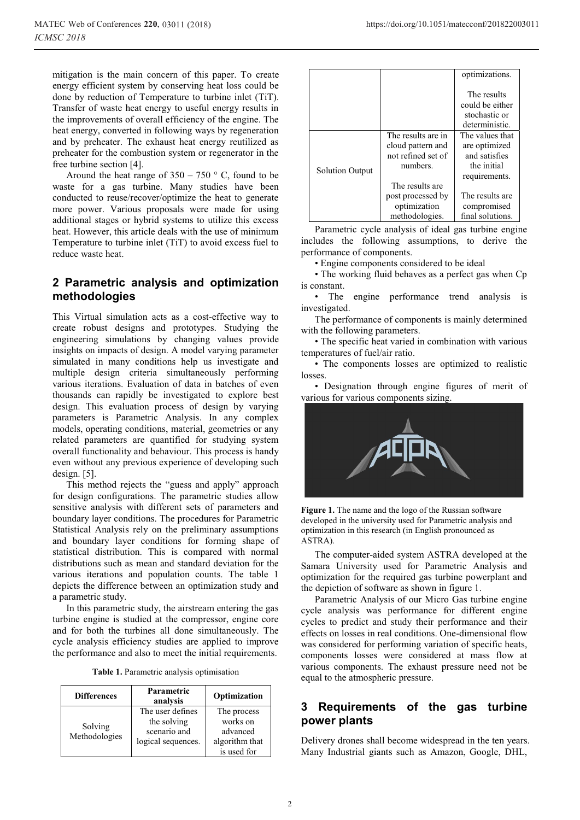mitigation is the main concern of this paper. To create energy efficient system by conserving heat loss could be done by reduction of Temperature to turbine inlet (TiT). Transfer of waste heat energy to useful energy results in the improvements of overall efficiency of the engine. The heat energy, converted in following ways by regeneration and by preheater. The exhaust heat energy reutilized as preheater for the combustion system or regenerator in the free turbine section [4].

Around the heat range of  $350 - 750$  ° C, found to be waste for a gas turbine. Many studies have been conducted to reuse/recover/optimize the heat to generate more power. Various proposals were made for using additional stages or hybrid systems to utilize this excess heat. However, this article deals with the use of minimum Temperature to turbine inlet (TiT) to avoid excess fuel to reduce waste heat.

### **2 Parametric analysis and optimization methodologies**

This Virtual simulation acts as a cost-effective way to create robust designs and prototypes. Studying the engineering simulations by changing values provide insights on impacts of design. A model varying parameter simulated in many conditions help us investigate and multiple design criteria simultaneously performing various iterations. Evaluation of data in batches of even thousands can rapidly be investigated to explore best design. This evaluation process of design by varying parameters is Parametric Analysis. In any complex models, operating conditions, material, geometries or any related parameters are quantified for studying system overall functionality and behaviour. This process is handy even without any previous experience of developing such design. [5].

This method rejects the "guess and apply" approach for design configurations. The parametric studies allow sensitive analysis with different sets of parameters and boundary layer conditions. The procedures for Parametric Statistical Analysis rely on the preliminary assumptions and boundary layer conditions for forming shape of statistical distribution. This is compared with normal distributions such as mean and standard deviation for the various iterations and population counts. The table 1 depicts the difference between an optimization study and a parametric study.

In this parametric study, the airstream entering the gas turbine engine is studied at the compressor, engine core and for both the turbines all done simultaneously. The cycle analysis efficiency studies are applied to improve the performance and also to meet the initial requirements.

**Table 1.** Parametric analysis optimisation

| <b>Differences</b>       | Parametric<br>analysis                                                | Optimization                                                         |
|--------------------------|-----------------------------------------------------------------------|----------------------------------------------------------------------|
| Solving<br>Methodologies | The user defines<br>the solving<br>scenario and<br>logical sequences. | The process<br>works on<br>advanced<br>algorithm that<br>is used for |

|                        |                                                                                              | optimizations.                                                                    |
|------------------------|----------------------------------------------------------------------------------------------|-----------------------------------------------------------------------------------|
|                        |                                                                                              | The results<br>could be either<br>stochastic or<br>deterministic.                 |
| <b>Solution Output</b> | The results are in<br>cloud pattern and<br>not refined set of<br>numbers.<br>The results are | The values that<br>are optimized<br>and satisfies<br>the initial<br>requirements. |
|                        | post processed by<br>optimization<br>methodologies.                                          | The results are<br>compromised<br>final solutions.                                |

Parametric cycle analysis of ideal gas turbine engine includes the following assumptions, to derive the performance of components.

• Engine components considered to be ideal

• The working fluid behaves as a perfect gas when Cp is constant.

• The engine performance trend analysis is investigated.

The performance of components is mainly determined with the following parameters.

• The specific heat varied in combination with various temperatures of fuel/air ratio.

• The components losses are optimized to realistic losses.

• Designation through engine figures of merit of various for various components sizing.



**Figure 1.** The name and the logo of the Russian software developed in the university used for Parametric analysis and optimization in this research (in English pronounced as ASTRA).

The computer-aided system ASTRA developed at the Samara University used for Parametric Analysis and optimization for the required gas turbine powerplant and the depiction of software as shown in figure 1.

Parametric Analysis of our Micro Gas turbine engine cycle analysis was performance for different engine cycles to predict and study their performance and their effects on losses in real conditions. One-dimensional flow was considered for performing variation of specific heats, components losses were considered at mass flow at various components. The exhaust pressure need not be equal to the atmospheric pressure.

### **3 Requirements of the gas turbine power plants**

Delivery drones shall become widespread in the ten years. Many Industrial giants such as Amazon, Google, DHL,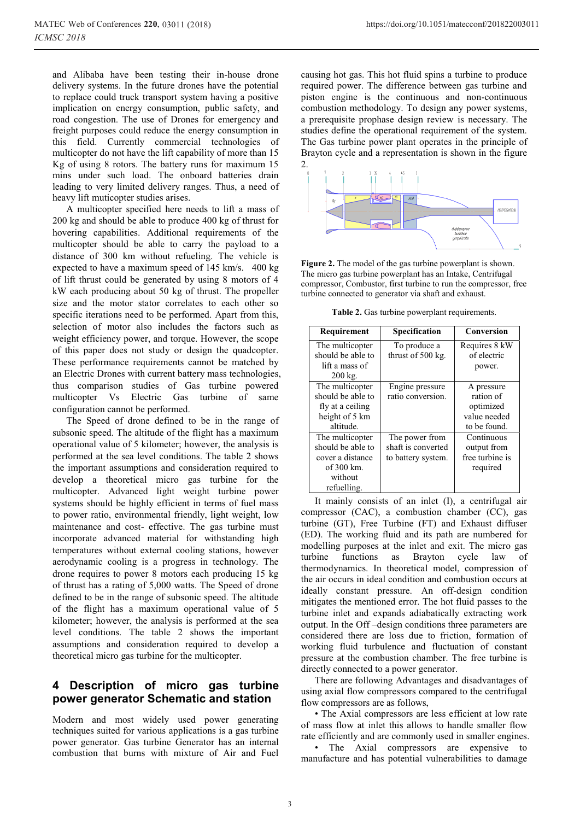and Alibaba have been testing their in-house drone delivery systems. In the future drones have the potential to replace could truck transport system having a positive implication on energy consumption, public safety, and road congestion. The use of Drones for emergency and freight purposes could reduce the energy consumption in this field. Currently commercial technologies of multicopter do not have the lift capability of more than 15 Kg of using 8 rotors. The battery runs for maximum 15 mins under such load. The onboard batteries drain leading to very limited delivery ranges. Thus, a need of heavy lift muticopter studies arises.

A multicopter specified here needs to lift a mass of 200 kg and should be able to produce 400 kg of thrust for hovering capabilities. Additional requirements of the multicopter should be able to carry the payload to a distance of 300 km without refueling. The vehicle is expected to have a maximum speed of 145 km/s. 400 kg of lift thrust could be generated by using 8 motors of 4 kW each producing about 50 kg of thrust. The propeller size and the motor stator correlates to each other so specific iterations need to be performed. Apart from this, selection of motor also includes the factors such as weight efficiency power, and torque. However, the scope of this paper does not study or design the quadcopter. These performance requirements cannot be matched by an Electric Drones with current battery mass technologies, thus comparison studies of Gas turbine powered multicopter Vs Electric Gas turbine of same configuration cannot be performed.

The Speed of drone defined to be in the range of subsonic speed. The altitude of the flight has a maximum operational value of 5 kilometer; however, the analysis is performed at the sea level conditions. The table 2 shows the important assumptions and consideration required to develop a theoretical micro gas turbine for the multicopter. Advanced light weight turbine power systems should be highly efficient in terms of fuel mass to power ratio, environmental friendly, light weight, low maintenance and cost- effective. The gas turbine must incorporate advanced material for withstanding high temperatures without external cooling stations, however aerodynamic cooling is a progress in technology. The drone requires to power 8 motors each producing 15 kg of thrust has a rating of 5,000 watts. The Speed of drone defined to be in the range of subsonic speed. The altitude of the flight has a maximum operational value of 5 kilometer; however, the analysis is performed at the sea level conditions. The table 2 shows the important assumptions and consideration required to develop a theoretical micro gas turbine for the multicopter.

### **4 Description of micro gas turbine power generator Schematic and station**

Modern and most widely used power generating techniques suited for various applications is a gas turbine power generator. Gas turbine Generator has an internal combustion that burns with mixture of Air and Fuel causing hot gas. This hot fluid spins a turbine to produce required power. The difference between gas turbine and piston engine is the continuous and non-continuous combustion methodology. To design any power systems, a prerequisite prophase design review is necessary. The studies define the operational requirement of the system. The Gas turbine power plant operates in the principle of Brayton cycle and a representation is shown in the figure 2.



**Figure 2.** The model of the gas turbine powerplant is shown. The micro gas turbine powerplant has an Intake, Centrifugal compressor, Combustor, first turbine to run the compressor, free turbine connected to generator via shaft and exhaust.

**Table 2.** Gas turbine powerplant requirements.

| Requirement       | <b>Specification</b> | Conversion      |
|-------------------|----------------------|-----------------|
| The multicopter   | To produce a         | Requires 8 kW   |
| should be able to | thrust of 500 kg.    | of electric     |
| lift a mass of    |                      | power.          |
| $200$ kg.         |                      |                 |
| The multicopter   | Engine pressure      | A pressure      |
| should be able to | ratio conversion.    | ration of       |
| fly at a ceiling  |                      | optimized       |
| height of 5 km    |                      | value needed    |
| altitude.         |                      | to be found.    |
| The multicopter   | The power from       | Continuous      |
| should be able to | shaft is converted   | output from     |
| cover a distance  | to battery system.   | free turbine is |
| of 300 km.        |                      | required        |
| without           |                      |                 |
| refuelling.       |                      |                 |

It mainly consists of an inlet (I), a centrifugal air compressor (CAC), a combustion chamber (CC), gas turbine (GT), Free Turbine (FT) and Exhaust diffuser (ED). The working fluid and its path are numbered for modelling purposes at the inlet and exit. The micro gas turbine functions as Brayton cycle law of thermodynamics. In theoretical model, compression of the air occurs in ideal condition and combustion occurs at ideally constant pressure. An off-design condition mitigates the mentioned error. The hot fluid passes to the turbine inlet and expands adiabatically extracting work output. In the Off –design conditions three parameters are considered there are loss due to friction, formation of working fluid turbulence and fluctuation of constant pressure at the combustion chamber. The free turbine is directly connected to a power generator.

There are following Advantages and disadvantages of using axial flow compressors compared to the centrifugal flow compressors are as follows,

• The Axial compressors are less efficient at low rate of mass flow at inlet this allows to handle smaller flow rate efficiently and are commonly used in smaller engines.

• The Axial compressors are expensive to manufacture and has potential vulnerabilities to damage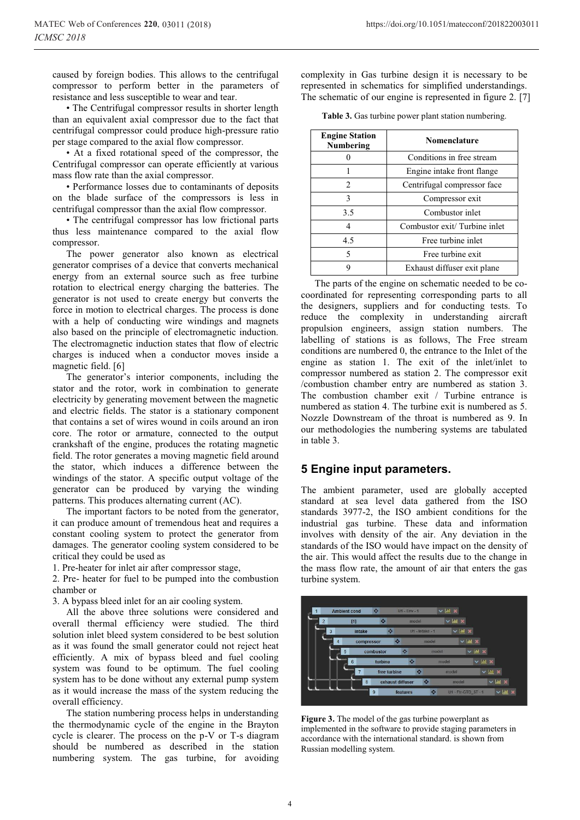caused by foreign bodies. This allows to the centrifugal compressor to perform better in the parameters of resistance and less susceptible to wear and tear.

• The Centrifugal compressor results in shorter length than an equivalent axial compressor due to the fact that centrifugal compressor could produce high-pressure ratio per stage compared to the axial flow compressor.

• At a fixed rotational speed of the compressor, the Centrifugal compressor can operate efficiently at various mass flow rate than the axial compressor.

• Performance losses due to contaminants of deposits on the blade surface of the compressors is less in centrifugal compressor than the axial flow compressor.

• The centrifugal compressor has low frictional parts thus less maintenance compared to the axial flow compressor.

The power generator also known as electrical generator comprises of a device that converts mechanical energy from an external source such as free turbine rotation to electrical energy charging the batteries. The generator is not used to create energy but converts the force in motion to electrical charges. The process is done with a help of conducting wire windings and magnets also based on the principle of electromagnetic induction. The electromagnetic induction states that flow of electric charges is induced when a conductor moves inside a magnetic field. [6]

The generator's interior components, including the stator and the rotor, work in combination to generate electricity by generating movement between the magnetic and electric fields. The stator is a stationary component that contains a set of wires wound in coils around an iron core. The rotor or armature, connected to the output crankshaft of the engine, produces the rotating magnetic field. The rotor generates a moving magnetic field around the stator, which induces a difference between the windings of the stator. A specific output voltage of the generator can be produced by varying the winding patterns. This produces alternating current (AC).

The important factors to be noted from the generator, it can produce amount of tremendous heat and requires a constant cooling system to protect the generator from damages. The generator cooling system considered to be critical they could be used as

1. Pre-heater for inlet air after compressor stage,

2. Pre- heater for fuel to be pumped into the combustion chamber or

3. A bypass bleed inlet for an air cooling system.

All the above three solutions were considered and overall thermal efficiency were studied. The third solution inlet bleed system considered to be best solution as it was found the small generator could not reject heat efficiently. A mix of bypass bleed and fuel cooling system was found to be optimum. The fuel cooling system has to be done without any external pump system as it would increase the mass of the system reducing the overall efficiency.

The station numbering process helps in understanding the thermodynamic cycle of the engine in the Brayton cycle is clearer. The process on the p-V or T-s diagram should be numbered as described in the station numbering system. The gas turbine, for avoiding

https://doi.org/10.1051/matecconf/201822003011

complexity in Gas turbine design it is necessary to be represented in schematics for simplified understandings. The schematic of our engine is represented in figure 2. [7]

**Table 3.** Gas turbine power plant station numbering.

| <b>Engine Station</b><br>Numbering | <b>Nomenclature</b>          |
|------------------------------------|------------------------------|
|                                    | Conditions in free stream    |
|                                    | Engine intake front flange   |
| $\mathcal{D}_{\cdot}$              | Centrifugal compressor face  |
| 3                                  | Compressor exit              |
| 3.5                                | Combustor inlet              |
| 4                                  | Combustor exit/Turbine inlet |
| 4.5                                | Free turbine inlet           |
| 5                                  | Free turbine exit            |
| 9                                  | Exhaust diffuser exit plane  |

The parts of the engine on schematic needed to be cocoordinated for representing corresponding parts to all the designers, suppliers and for conducting tests. To reduce the complexity in understanding aircraft propulsion engineers, assign station numbers. The labelling of stations is as follows, The Free stream conditions are numbered 0, the entrance to the Inlet of the engine as station 1. The exit of the inlet/inlet to compressor numbered as station 2. The compressor exit /combustion chamber entry are numbered as station 3. The combustion chamber exit / Turbine entrance is numbered as station 4. The turbine exit is numbered as 5. Nozzle Downstream of the throat is numbered as 9. In our methodologies the numbering systems are tabulated in table 3.

### **5 Engine input parameters.**

The ambient parameter, used are globally accepted standard at sea level data gathered from the ISO standards 3977-2, the ISO ambient conditions for the industrial gas turbine. These data and information involves with density of the air. Any deviation in the standards of the ISO would have impact on the density of the air. This would affect the results due to the change in the mass flow rate, the amount of air that enters the gas turbine system.



**Figure 3.** The model of the gas turbine powerplant as implemented in the software to provide staging parameters in accordance with the international standard. is shown from Russian modelling system.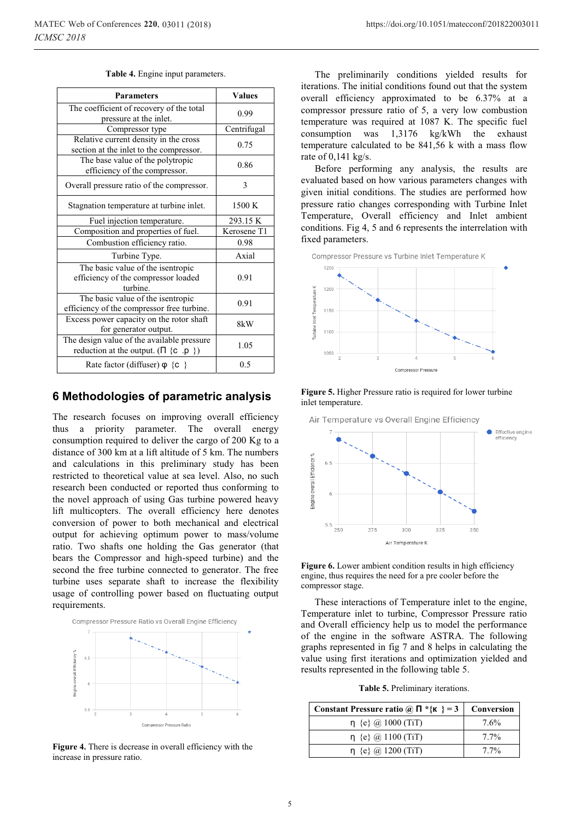| <b>Parameters</b>                                                                            | <b>Values</b> |
|----------------------------------------------------------------------------------------------|---------------|
| The coefficient of recovery of the total<br>pressure at the inlet.                           | 0.99          |
| Compressor type                                                                              | Centrifugal   |
| Relative current density in the cross<br>section at the inlet to the compressor.             | 0.75          |
| The base value of the polytropic<br>efficiency of the compressor.                            | 0.86          |
| Overall pressure ratio of the compressor.                                                    | 3             |
| Stagnation temperature at turbine inlet.                                                     | 1500 K        |
| Fuel injection temperature.                                                                  | 293.15 K      |
| Composition and properties of fuel.                                                          | Kerosene T1   |
| Combustion efficiency ratio.                                                                 | 0.98          |
| Turbine Type.                                                                                | Axial         |
| The basic value of the isentropic<br>efficiency of the compressor loaded<br>turbine.         | 0.91          |
| The basic value of the isentropic<br>efficiency of the compressor free turbine.              | 0.91          |
| Excess power capacity on the rotor shaft<br>for generator output.                            | 8kW           |
| The design value of the available pressure<br>reduction at the output. $(\Pi \{c \cdot p\})$ | 1.05          |
| Rate factor (diffuser) $\varphi$ {c }                                                        | 0.5           |

#### **Table 4.** Engine input parameters.

### **6 Methodologies of parametric analysis**

The research focuses on improving overall efficiency thus a priority parameter. The overall energy consumption required to deliver the cargo of 200 Kg to a distance of 300 km at a lift altitude of 5 km. The numbers and calculations in this preliminary study has been restricted to theoretical value at sea level. Also, no such research been conducted or reported thus conforming to the novel approach of using Gas turbine powered heavy lift multicopters. The overall efficiency here denotes conversion of power to both mechanical and electrical output for achieving optimum power to mass/volume ratio. Two shafts one holding the Gas generator (that bears the Compressor and high-speed turbine) and the second the free turbine connected to generator. The free turbine uses separate shaft to increase the flexibility usage of controlling power based on fluctuating output requirements.



**Figure 4.** There is decrease in overall efficiency with the increase in pressure ratio.

The preliminarily conditions yielded results for iterations. The initial conditions found out that the system overall efficiency approximated to be 6.37% at a compressor pressure ratio of 5, a very low combustion temperature was required at 1087 K. The specific fuel consumption was 1,3176 kg/kWh the exhaust temperature calculated to be 841,56 k with a mass flow rate of 0,141 kg/s.

Before performing any analysis, the results are evaluated based on how various parameters changes with given initial conditions. The studies are performed how pressure ratio changes corresponding with Turbine Inlet Temperature, Overall efficiency and Inlet ambient conditions. Fig 4, 5 and 6 represents the interrelation with fixed parameters.





Air Temperature vs Overall Engine Efficiency Effective engine efficiency Engine overall Efficiency %  $6.5$ 5.5 250 275 300 325 350 Air Temperature K

Figure 6. Lower ambient condition results in high efficiency engine, thus requires the need for a pre cooler before the compressor stage.

These interactions of Temperature inlet to the engine, Temperature inlet to turbine, Compressor Pressure ratio and Overall efficiency help us to model the performance of the engine in the software ASTRA. The following graphs represented in fig 7 and 8 helps in calculating the value using first iterations and optimization yielded and results represented in the following table 5.

**Table 5.** Preliminary iterations.

| Constant Pressure ratio @ $\Pi * \{K\} = 3$ | Conversion |
|---------------------------------------------|------------|
| $\eta$ {e} @ 1000 (TiT)                     | 7.6%       |
| $n \{e\}$ (a) 1100 (TiT)                    | $7.7\%$    |
| $\eta$ {e} @ 1200 (TiT)                     | $7.7\%$    |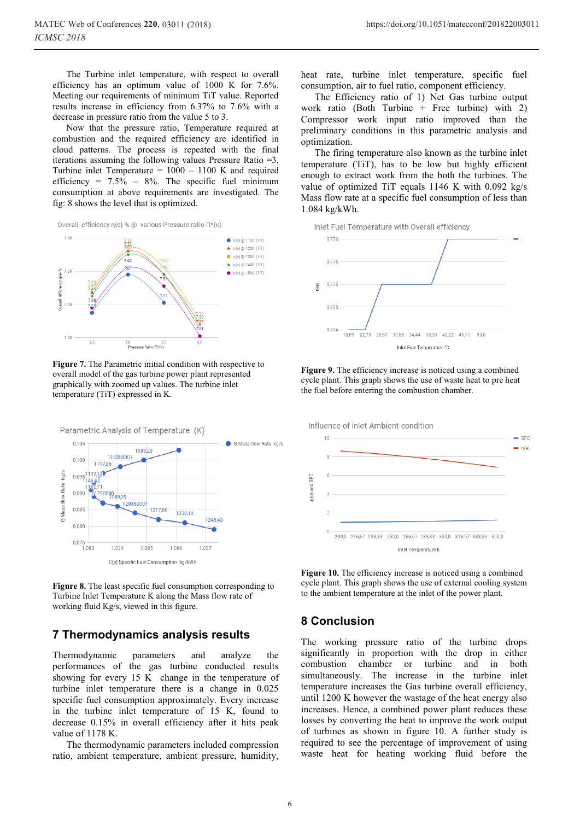The Turbine inlet temperature, with respect to overall efficiency has an optimum value of 1000 K for 7.6%. Meeting our requirements of minimum TiT value. Reported results increase in efficiency from 6.37% to 7.6% with a decrease in pressure ratio from the value 5 to 3.

Now that the pressure ratio, Temperature required at combustion and the required efficiency are identified in cloud patterns. The process is repeated with the final iterations assuming the following values Pressure Ratio =3, Turbine inlet Temperature  $= 1000 - 1100$  K and required efficiency =  $7.5\%$  –  $8\%$ . The specific fuel minimum consumption at above requirements are investigated. The fig: 8 shows the level that is optimized.



**Figure 7.** The Parametric initial condition with respective to overall model of the gas turbine power plant represented graphically with zoomed up values. The turbine inlet temperature (TiT) expressed in K.



**Figure 8.** The least specific fuel consumption corresponding to Turbine Inlet Temperature K along the Mass flow rate of working fluid Kg/s, viewed in this figure.

### **7 Thermodynamics analysis results**

Thermodynamic parameters and analyze the performances of the gas turbine conducted results showing for every 15 K change in the temperature of turbine inlet temperature there is a change in 0.025 specific fuel consumption approximately. Every increase in the turbine inlet temperature of 15 K, found to decrease 0.15% in overall efficiency after it hits peak value of 1178 K.

The thermodynamic parameters included compression ratio, ambient temperature, ambient pressure, humidity,

heat rate, turbine inlet temperature, specific fuel consumption, air to fuel ratio, component efficiency.

The Efficiency ratio of 1) Net Gas turbine output work ratio (Both Turbine  $+$  Free turbine) with 2) Compressor work input ratio improved than the preliminary conditions in this parametric analysis and optimization.

The firing temperature also known as the turbine inlet temperature (TiT), has to be low but highly efficient enough to extract work from the both the turbines. The value of optimized TiT equals 1146 K with 0.092 kg/s Mass flow rate at a specific fuel consumption of less than 1.084 kg/kWh.

Inlet Fuel Temperature with Overall efficiency







**Figure 10.** The efficiency increase is noticed using a combined cycle plant. This graph shows the use of external cooling system to the ambient temperature at the inlet of the power plant.

# **8 Conclusion**

The working pressure ratio of the turbine drops significantly in proportion with the drop in either combustion chamber or turbine and in both simultaneously. The increase in the turbine inlet temperature increases the Gas turbine overall efficiency, until 1200 K however the wastage of the heat energy also increases. Hence, a combined power plant reduces these losses by converting the heat to improve the work output of turbines as shown in figure 10. A further study is required to see the percentage of improvement of using waste heat for heating working fluid before the